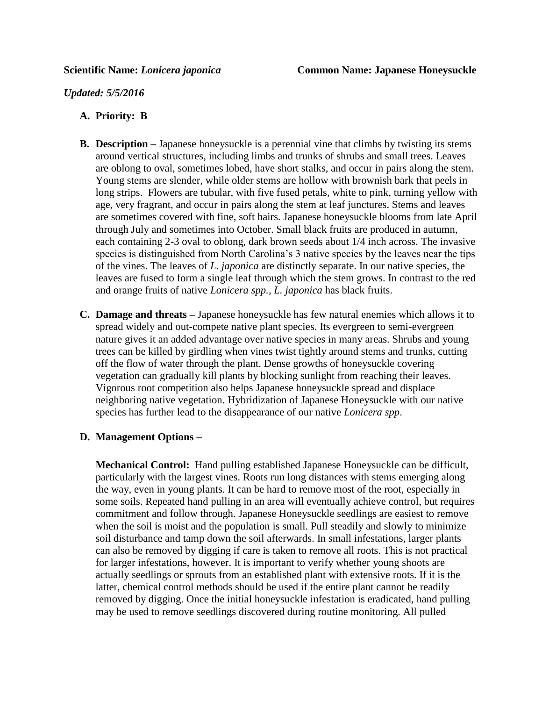*Updated: 5/5/2016*

## **A. Priority: B**

- **B. Description –** Japanese honeysuckle is a perennial vine that climbs by twisting its stems around vertical structures, including limbs and trunks of shrubs and small trees. Leaves are oblong to oval, sometimes lobed, have short stalks, and occur in pairs along the stem. Young stems are slender, while older stems are hollow with brownish bark that peels in long strips. Flowers are tubular, with five fused petals, white to pink, turning yellow with age, very fragrant, and occur in pairs along the stem at leaf junctures. Stems and leaves are sometimes covered with fine, soft hairs. Japanese honeysuckle blooms from late April through July and sometimes into October. Small black fruits are produced in autumn, each containing 2-3 oval to oblong, dark brown seeds about 1/4 inch across. The invasive species is distinguished from North Carolina's 3 native species by the leaves near the tips of the vines. The leaves of *L. japonica* are distinctly separate. In our native species, the leaves are fused to form a single leaf through which the stem grows. In contrast to the red and orange fruits of native *Lonicera spp., L. japonica* has black fruits.
- **C. Damage and threats –** Japanese honeysuckle has few natural enemies which allows it to spread widely and out-compete native plant species. Its evergreen to semi-evergreen nature gives it an added advantage over native species in many areas. Shrubs and young trees can be killed by girdling when vines twist tightly around stems and trunks, cutting off the flow of water through the plant. Dense growths of honeysuckle covering vegetation can gradually kill plants by blocking sunlight from reaching their leaves. Vigorous root competition also helps Japanese honeysuckle spread and displace neighboring native vegetation. Hybridization of Japanese Honeysuckle with our native species has further lead to the disappearance of our native *Lonicera spp*.

## **D. Management Options –**

**Mechanical Control:** Hand pulling established Japanese Honeysuckle can be difficult, particularly with the largest vines. Roots run long distances with stems emerging along the way, even in young plants. It can be hard to remove most of the root, especially in some soils. Repeated hand pulling in an area will eventually achieve control, but requires commitment and follow through. Japanese Honeysuckle seedlings are easiest to remove when the soil is moist and the population is small. Pull steadily and slowly to minimize soil disturbance and tamp down the soil afterwards. In small infestations, larger plants can also be removed by digging if care is taken to remove all roots. This is not practical for larger infestations, however. It is important to verify whether young shoots are actually seedlings or sprouts from an established plant with extensive roots. If it is the latter, chemical control methods should be used if the entire plant cannot be readily removed by digging. Once the initial honeysuckle infestation is eradicated, hand pulling may be used to remove seedlings discovered during routine monitoring. All pulled